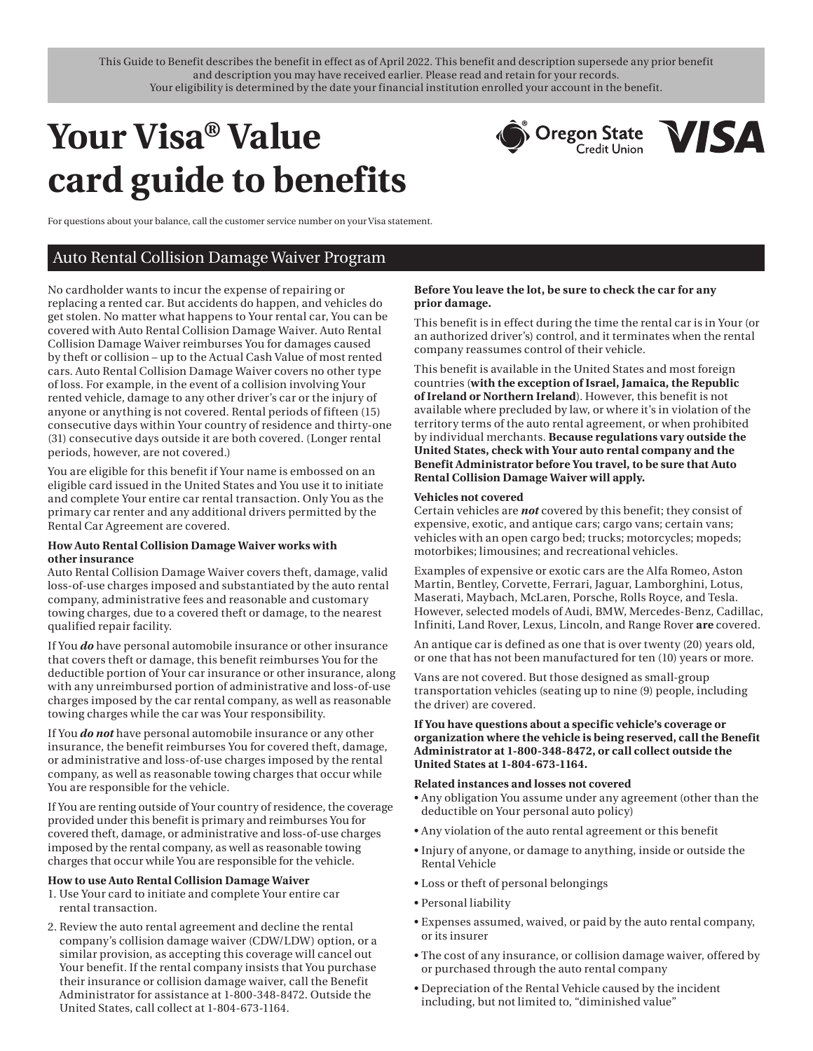This Guide to Benefit describes the benefit in effect as of April 2022. This benefit and description supersede any prior benefit and description you may have received earlier. Please read and retain for your records. Your eligibility is determined by the date your financial institution enrolled your account in the benefit.

# **Your Visa® Value card guide to benefits**



For questions about your balance, call the customer service number on your Visa statement.

# Auto Rental Collision Damage Waiver Program

No cardholder wants to incur the expense of repairing or replacing a rented car. But accidents do happen, and vehicles do get stolen. No matter what happens to Your rental car, You can be covered with Auto Rental Collision Damage Waiver. Auto Rental Collision Damage Waiver reimburses You for damages caused by theft or collision – up to the Actual Cash Value of most rented cars. Auto Rental Collision Damage Waiver covers no other type of loss. For example, in the event of a collision involving Your rented vehicle, damage to any other driver's car or the injury of anyone or anything is not covered. Rental periods of fifteen (15) consecutive days within Your country of residence and thirty-one (31) consecutive days outside it are both covered. (Longer rental periods, however, are not covered.)

You are eligible for this benefit if Your name is embossed on an eligible card issued in the United States and You use it to initiate and complete Your entire car rental transaction. Only You as the primary car renter and any additional drivers permitted by the Rental Car Agreement are covered.

# **How Auto Rental Collision Damage Waiver works with other insurance**

Auto Rental Collision Damage Waiver covers theft, damage, valid loss-of-use charges imposed and substantiated by the auto rental company, administrative fees and reasonable and customary towing charges, due to a covered theft or damage, to the nearest qualified repair facility.

If You *do* have personal automobile insurance or other insurance that covers theft or damage, this benefit reimburses You for the deductible portion of Your car insurance or other insurance, along with any unreimbursed portion of administrative and loss-of-use charges imposed by the car rental company, as well as reasonable towing charges while the car was Your responsibility.

If You *do not* have personal automobile insurance or any other insurance, the benefit reimburses You for covered theft, damage, or administrative and loss-of-use charges imposed by the rental company, as well as reasonable towing charges that occur while You are responsible for the vehicle.

If You are renting outside of Your country of residence, the coverage provided under this benefit is primary and reimburses You for covered theft, damage, or administrative and loss-of-use charges imposed by the rental company, as well as reasonable towing charges that occur while You are responsible for the vehicle.

#### **How to use Auto Rental Collision Damage Waiver**

- 1. Use Your card to initiate and complete Your entire car rental transaction.
- 2. Review the auto rental agreement and decline the rental company's collision damage waiver (CDW/LDW) option, or a similar provision, as accepting this coverage will cancel out Your benefit. If the rental company insists that You purchase their insurance or collision damage waiver, call the Benefit Administrator for assistance at 1-800-348-8472. Outside the United States, call collect at 1-804-673-1164.

# **Before You leave the lot, be sure to check the car for any prior damage.**

This benefit is in effect during the time the rental car is in Your (or an authorized driver's) control, and it terminates when the rental company reassumes control of their vehicle.

This benefit is available in the United States and most foreign countries (**with the exception of Israel, Jamaica, the Republic of Ireland or Northern Ireland**). However, this benefit is not available where precluded by law, or where it's in violation of the territory terms of the auto rental agreement, or when prohibited by individual merchants. **Because regulations vary outside the United States, check with Your auto rental company and the Benefit Administrator before You travel, to be sure that Auto Rental Collision Damage Waiver will apply.** 

#### **Vehicles not covered**

Certain vehicles are *not* covered by this benefit; they consist of expensive, exotic, and antique cars; cargo vans; certain vans; vehicles with an open cargo bed; trucks; motorcycles; mopeds; motorbikes; limousines; and recreational vehicles.

Examples of expensive or exotic cars are the Alfa Romeo, Aston Martin, Bentley, Corvette, Ferrari, Jaguar, Lamborghini, Lotus, Maserati, Maybach, McLaren, Porsche, Rolls Royce, and Tesla. However, selected models of Audi, BMW, Mercedes-Benz, Cadillac, Infiniti, Land Rover, Lexus, Lincoln, and Range Rover **are** covered.

An antique car is defined as one that is over twenty (20) years old, or one that has not been manufactured for ten (10) years or more.

Vans are not covered. But those designed as small-group transportation vehicles (seating up to nine (9) people, including the driver) are covered.

# **If You have questions about a specific vehicle's coverage or organization where the vehicle is being reserved, call the Benefit Administrator at 1-800-348-8472, or call collect outside the United States at 1-804-673-1164.**

### **Related instances and losses not covered**

- Any obligation You assume under any agreement (other than the deductible on Your personal auto policy)
- Any violation of the auto rental agreement or this benefit
- Injury of anyone, or damage to anything, inside or outside the Rental Vehicle
- Loss or theft of personal belongings
- Personal liability
- Expenses assumed, waived, or paid by the auto rental company, or its insurer
- The cost of any insurance, or collision damage waiver, offered by or purchased through the auto rental company
- Depreciation of the Rental Vehicle caused by the incident including, but not limited to, "diminished value"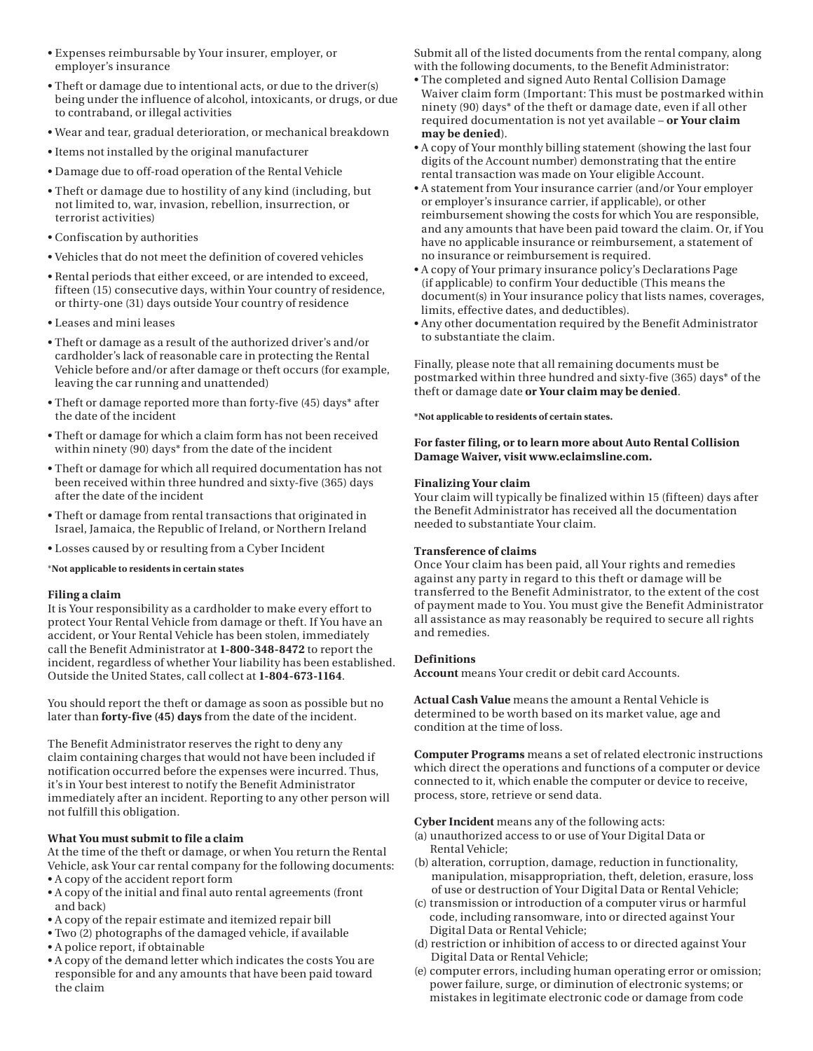- Expenses reimbursable by Your insurer, employer, or employer's insurance
- Theft or damage due to intentional acts, or due to the driver(s) being under the influence of alcohol, intoxicants, or drugs, or due to contraband, or illegal activities
- Wear and tear, gradual deterioration, or mechanical breakdown
- Items not installed by the original manufacturer
- Damage due to off-road operation of the Rental Vehicle
- Theft or damage due to hostility of any kind (including, but not limited to, war, invasion, rebellion, insurrection, or terrorist activities)
- Confiscation by authorities
- Vehicles that do not meet the definition of covered vehicles
- Rental periods that either exceed, or are intended to exceed, fifteen (15) consecutive days, within Your country of residence, or thirty-one (31) days outside Your country of residence
- Leases and mini leases
- Theft or damage as a result of the authorized driver's and/or cardholder's lack of reasonable care in protecting the Rental Vehicle before and/or after damage or theft occurs (for example, leaving the car running and unattended)
- Theft or damage reported more than forty-five (45) days\* after the date of the incident
- Theft or damage for which a claim form has not been received within ninety (90) days\* from the date of the incident
- Theft or damage for which all required documentation has not been received within three hundred and sixty-five (365) days after the date of the incident
- Theft or damage from rental transactions that originated in Israel, Jamaica, the Republic of Ireland, or Northern Ireland
- Losses caused by or resulting from a Cyber Incident

#### \***Not applicable to residents in certain states**

#### **Filing a claim**

It is Your responsibility as a cardholder to make every effort to protect Your Rental Vehicle from damage or theft. If You have an accident, or Your Rental Vehicle has been stolen, immediately call the Benefit Administrator at **1-800-348-8472** to report the incident, regardless of whether Your liability has been established. Outside the United States, call collect at **1-804-673-1164**.

You should report the theft or damage as soon as possible but no later than **forty-five (45) days** from the date of the incident.

The Benefit Administrator reserves the right to deny any claim containing charges that would not have been included if notification occurred before the expenses were incurred. Thus, it's in Your best interest to notify the Benefit Administrator immediately after an incident. Reporting to any other person will not fulfill this obligation.

# **What You must submit to file a claim**

At the time of the theft or damage, or when You return the Rental Vehicle, ask Your car rental company for the following documents: • A copy of the accident report form

- A copy of the initial and final auto rental agreements (front and back)
- A copy of the repair estimate and itemized repair bill
- Two (2) photographs of the damaged vehicle, if available
- A police report, if obtainable
- A copy of the demand letter which indicates the costs You are responsible for and any amounts that have been paid toward the claim

Submit all of the listed documents from the rental company, along with the following documents, to the Benefit Administrator:

- The completed and signed Auto Rental Collision Damage Waiver claim form (Important: This must be postmarked within ninety (90) days\* of the theft or damage date, even if all other required documentation is not yet available – **or Your claim may be denied**).
- A copy of Your monthly billing statement (showing the last four digits of the Account number) demonstrating that the entire rental transaction was made on Your eligible Account.
- A statement from Your insurance carrier (and/or Your employer or employer's insurance carrier, if applicable), or other reimbursement showing the costs for which You are responsible, and any amounts that have been paid toward the claim. Or, if You have no applicable insurance or reimbursement, a statement of no insurance or reimbursement is required.
- A copy of Your primary insurance policy's Declarations Page (if applicable) to confirm Your deductible (This means the document(s) in Your insurance policy that lists names, coverages, limits, effective dates, and deductibles).
- Any other documentation required by the Benefit Administrator to substantiate the claim.

Finally, please note that all remaining documents must be postmarked within three hundred and sixty-five (365) days\* of the theft or damage date **or Your claim may be denied**.

**\*Not applicable to residents of certain states.** 

# **For faster filing, or to learn more about Auto Rental Collision Damage Waiver, visit <www.eclaimsline.com>.**

# **Finalizing Your claim**

Your claim will typically be finalized within 15 (fifteen) days after the Benefit Administrator has received all the documentation needed to substantiate Your claim.

# **Transference of claims**

Once Your claim has been paid, all Your rights and remedies against any party in regard to this theft or damage will be transferred to the Benefit Administrator, to the extent of the cost of payment made to You. You must give the Benefit Administrator all assistance as may reasonably be required to secure all rights and remedies.

# **Definitions**

**Account** means Your credit or debit card Accounts.

**Actual Cash Value** means the amount a Rental Vehicle is determined to be worth based on its market value, age and condition at the time of loss.

**Computer Programs** means a set of related electronic instructions which direct the operations and functions of a computer or device connected to it, which enable the computer or device to receive, process, store, retrieve or send data.

**Cyber Incident** means any of the following acts:

- (a) unauthorized access to or use of Your Digital Data or Rental Vehicle;
- (b) alteration, corruption, damage, reduction in functionality, manipulation, misappropriation, theft, deletion, erasure, loss of use or destruction of Your Digital Data or Rental Vehicle;
- (c) transmission or introduction of a computer virus or harmful code, including ransomware, into or directed against Your Digital Data or Rental Vehicle;
- (d) restriction or inhibition of access to or directed against Your Digital Data or Rental Vehicle;
- (e) computer errors, including human operating error or omission; power failure, surge, or diminution of electronic systems; or mistakes in legitimate electronic code or damage from code